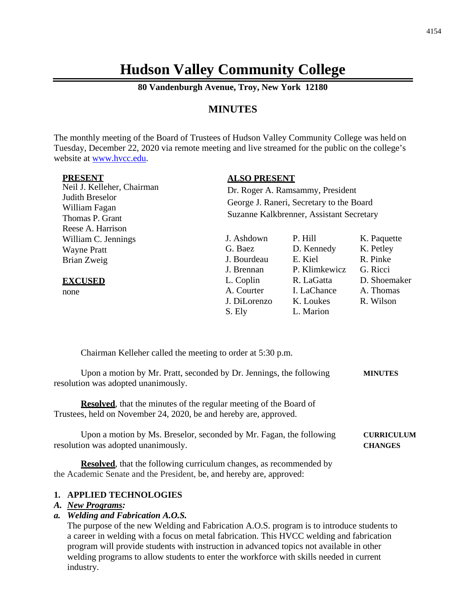# **Hudson Valley Community College**

**80 Vandenburgh Avenue, Troy, New York 12180**

# **MINUTES**

The monthly meeting of the Board of Trustees of Hudson Valley Community College was held on Tuesday, December 22, 2020 via remote meeting and live streamed for the public on the college's website at [www.hvcc.edu.](http://www.hvcc.edu/)

Neil J. Kelleher, Chairman Judith Breselor William Fagan Thomas P. Grant Reese A. Harrison William C. Jennings Wayne Pratt Brian Zweig

#### **EXCUSED**

none

#### **ALSO PRESENT**

Dr. Roger A. Ramsammy, President George J. Raneri, Secretary to the Board Suzanne Kalkbrenner, Assistant Secretary

J. Ashdown P. Hill K. Paquette G. Baez D. Kennedy K. Petley J. Bourdeau E. Kiel R. Pinke J. Brennan P. Klimkewicz G. Ricci L. Coplin R. LaGatta D. Shoemaker A. Courter I. LaChance A. Thomas J. DiLorenzo K. Loukes R. Wilson S. Ely L. Marion

Chairman Kelleher called the meeting to order at 5:30 p.m.

Upon a motion by Mr. Pratt, seconded by Dr. Jennings, the following **MINUTES** resolution was adopted unanimously.

**Resolved**, that the minutes of the regular meeting of the Board of Trustees, held on November 24, 2020, be and hereby are, approved.

Upon a motion by Ms. Breselor, seconded by Mr. Fagan, the following **CURRICULUM** resolution was adopted unanimously. **CHANGES**

**Resolved**, that the following curriculum changes, as recommended by the Academic Senate and the President, be, and hereby are, approved:

### **1. APPLIED TECHNOLOGIES**

#### *A. New Programs:*

### *a. Welding and Fabrication A.O.S.*

The purpose of the new Welding and Fabrication A.O.S. program is to introduce students to a career in welding with a focus on metal fabrication. This HVCC welding and fabrication program will provide students with instruction in advanced topics not available in other welding programs to allow students to enter the workforce with skills needed in current industry.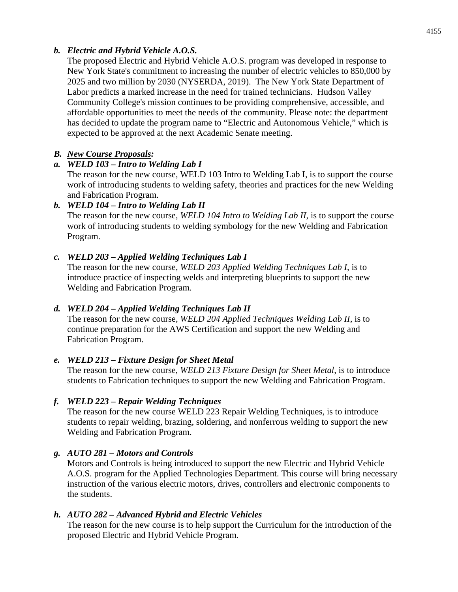# *b. Electric and Hybrid Vehicle A.O.S.*

The proposed Electric and Hybrid Vehicle A.O.S. program was developed in response to New York State's commitment to increasing the number of electric vehicles to 850,000 by 2025 and two million by 2030 (NYSERDA, 2019). The New York State Department of Labor predicts a marked increase in the need for trained technicians. Hudson Valley Community College's mission continues to be providing comprehensive, accessible, and affordable opportunities to meet the needs of the community. Please note: the department has decided to update the program name to "Electric and Autonomous Vehicle," which is expected to be approved at the next Academic Senate meeting.

# *B. New Course Proposals:*

# *a. WELD 103 – Intro to Welding Lab I*

The reason for the new course, WELD 103 Intro to Welding Lab I, is to support the course work of introducing students to welding safety, theories and practices for the new Welding and Fabrication Program.

# *b. WELD 104 – Intro to Welding Lab II*

The reason for the new course, *WELD 104 Intro to Welding Lab II*, is to support the course work of introducing students to welding symbology for the new Welding and Fabrication Program.

# *c. WELD 203 – Applied Welding Techniques Lab I*

The reason for the new course, *WELD 203 Applied Welding Techniques Lab I*, is to introduce practice of inspecting welds and interpreting blueprints to support the new Welding and Fabrication Program.

# *d. WELD 204 – Applied Welding Techniques Lab II*

The reason for the new course, *WELD 204 Applied Techniques Welding Lab II*, is to continue preparation for the AWS Certification and support the new Welding and Fabrication Program.

### *e. WELD 213 – Fixture Design for Sheet Metal*

The reason for the new course, *WELD 213 Fixture Design for Sheet Metal*, is to introduce students to Fabrication techniques to support the new Welding and Fabrication Program.

### *f. WELD 223 – Repair Welding Techniques*

The reason for the new course WELD 223 Repair Welding Techniques, is to introduce students to repair welding, brazing, soldering, and nonferrous welding to support the new Welding and Fabrication Program.

# *g. AUTO 281 – Motors and Controls*

Motors and Controls is being introduced to support the new Electric and Hybrid Vehicle A.O.S. program for the Applied Technologies Department. This course will bring necessary instruction of the various electric motors, drives, controllers and electronic components to the students.

### *h. AUTO 282 – Advanced Hybrid and Electric Vehicles*

The reason for the new course is to help support the Curriculum for the introduction of the proposed Electric and Hybrid Vehicle Program.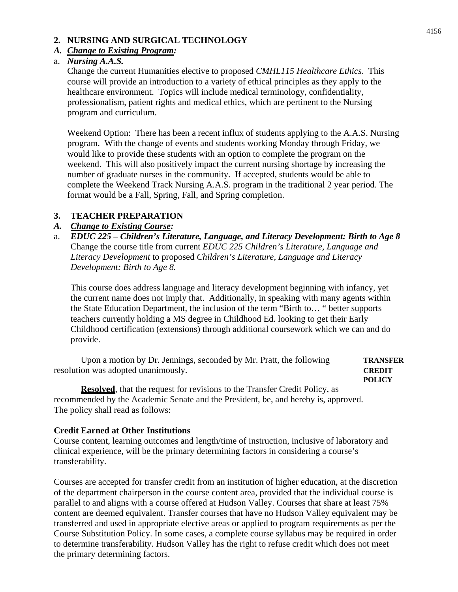### **2. NURSING AND SURGICAL TECHNOLOGY**

#### *A. Change to Existing Program:*

### a. *Nursing A.A.S.*

Change the current Humanities elective to proposed *CMHL115 Healthcare Ethics*. This course will provide an introduction to a variety of ethical principles as they apply to the healthcare environment. Topics will include medical terminology, confidentiality, professionalism, patient rights and medical ethics, which are pertinent to the Nursing program and curriculum.

Weekend Option: There has been a recent influx of students applying to the A.A.S. Nursing program. With the change of events and students working Monday through Friday, we would like to provide these students with an option to complete the program on the weekend. This will also positively impact the current nursing shortage by increasing the number of graduate nurses in the community. If accepted, students would be able to complete the Weekend Track Nursing A.A.S. program in the traditional 2 year period. The format would be a Fall, Spring, Fall, and Spring completion.

### **3. TEACHER PREPARATION**

### *A. Change to Existing Course:*

a. *EDUC 225 – Children's Literature, Language, and Literacy Development: Birth to Age 8* Change the course title from current *EDUC 225 Children's Literature, Language and Literacy Development* to proposed *Children's Literature, Language and Literacy Development: Birth to Age 8.* 

This course does address language and literacy development beginning with infancy, yet the current name does not imply that. Additionally, in speaking with many agents within the State Education Department, the inclusion of the term "Birth to… " better supports teachers currently holding a MS degree in Childhood Ed. looking to get their Early Childhood certification (extensions) through additional coursework which we can and do provide.

Upon a motion by Dr. Jennings, seconded by Mr. Pratt, the following **TRANSFER** resolution was adopted unanimously. **CREDIT**

**POLICY**

**Resolved**, that the request for revisions to the Transfer Credit Policy, as recommended by the Academic Senate and the President, be, and hereby is, approved. The policy shall read as follows:

#### **Credit Earned at Other Institutions**

Course content, learning outcomes and length/time of instruction, inclusive of laboratory and clinical experience, will be the primary determining factors in considering a course's transferability.

Courses are accepted for transfer credit from an institution of higher education, at the discretion of the department chairperson in the course content area, provided that the individual course is parallel to and aligns with a course offered at Hudson Valley. Courses that share at least 75% content are deemed equivalent. Transfer courses that have no Hudson Valley equivalent may be transferred and used in appropriate elective areas or applied to program requirements as per the Course Substitution Policy. In some cases, a complete course syllabus may be required in order to determine transferability. Hudson Valley has the right to refuse credit which does not meet the primary determining factors.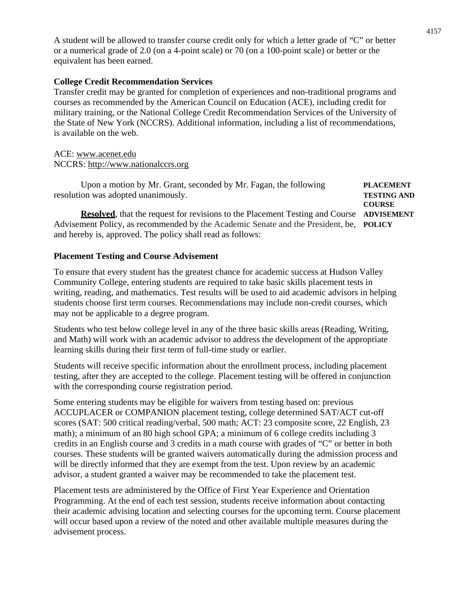A student will be allowed to transfer course credit only for which a letter grade of "C" or better or a numerical grade of 2.0 (on a 4-point scale) or 70 (on a 100-point scale) or better or the equivalent has been earned.

### **College Credit Recommendation Services**

Transfer credit may be granted for completion of experiences and non-traditional programs and courses as recommended by the American Council on Education (ACE), including credit for military training, or the National College Credit Recommendation Services of the University of the State of New York (NCCRS). Additional information, including a list of recommendations, is available on the web.

### ACE: [www.acenet.edu](http://www.acenet.edu/) NCCRS: [http://www.nationalccrs.org](http://www.nationalccrs.org/)

Upon a motion by Mr. Grant, seconded by Mr. Fagan, the following **PLACEMENT** resolution was adopted unanimously. **TESTING AND COURSE**

**Resolved**, that the request for revisions to the Placement Testing and Course **ADVISEMENT** Advisement Policy, as recommended by the Academic Senate and the President, be, **POLICY** and hereby is, approved. The policy shall read as follows:

### **Placement Testing and Course Advisement**

To ensure that every student has the greatest chance for academic success at Hudson Valley Community College, entering students are required to take basic skills placement tests in writing, reading, and mathematics. Test results will be used to aid academic advisors in helping students choose first term courses. Recommendations may include non-credit courses, which may not be applicable to a degree program.

Students who test below college level in any of the three basic skills areas (Reading, Writing, and Math) will work with an academic advisor to address the development of the appropriate learning skills during their first term of full-time study or earlier.

Students will receive specific information about the enrollment process, including placement testing, after they are accepted to the college. Placement testing will be offered in conjunction with the corresponding course registration period.

Some entering students may be eligible for waivers from testing based on: previous ACCUPLACER or COMPANION placement testing, college determined SAT/ACT cut-off scores (SAT: 500 critical reading/verbal, 500 math; ACT: 23 composite score, 22 English, 23 math); a minimum of an 80 high school GPA; a minimum of 6 college credits including 3 credits in an English course and 3 credits in a math course with grades of "C" or better in both courses. These students will be granted waivers automatically during the admission process and will be directly informed that they are exempt from the test. Upon review by an academic advisor, a student granted a waiver may be recommended to take the placement test.

Placement tests are administered by the Office of First Year Experience and Orientation Programming. At the end of each test session, students receive information about contacting their academic advising location and selecting courses for the upcoming term. Course placement will occur based upon a review of the noted and other available multiple measures during the advisement process.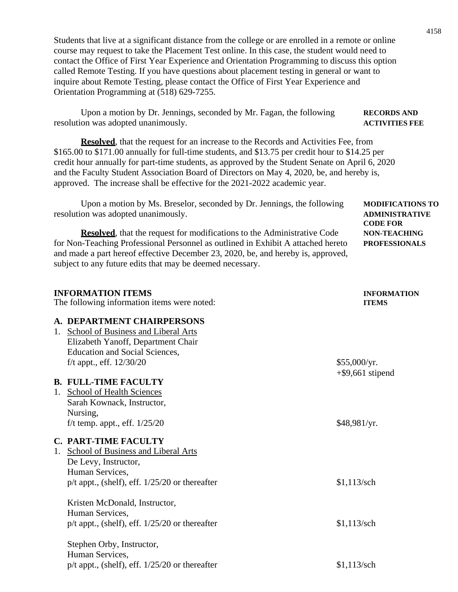Students that live at a significant distance from the college or are enrolled in a remote or online course may request to take the Placement Test online. In this case, the student would need to contact the Office of First Year Experience and Orientation Programming to discuss this option called Remote Testing. If you have questions about placement testing in general or want to inquire about Remote Testing, please contact the Office of First Year Experience and Orientation Programming at (518) 629-7255.

Upon a motion by Dr. Jennings, seconded by Mr. Fagan, the following **RECORDS AND** resolution was adopted unanimously. **ACTIVITIES FEE**

**Resolved**, that the request for an increase to the Records and Activities Fee, from \$165.00 to \$171.00 annually for full-time students, and \$13.75 per credit hour to \$14.25 per credit hour annually for part-time students, as approved by the Student Senate on April 6, 2020 and the Faculty Student Association Board of Directors on May 4, 2020, be, and hereby is, approved. The increase shall be effective for the 2021-2022 academic year.

| resolution was adopted unanimously.<br><b>ADMINISTRATIVE</b><br><b>CODE FOR</b>                                                                                                                                                   |                      |
|-----------------------------------------------------------------------------------------------------------------------------------------------------------------------------------------------------------------------------------|----------------------|
| <b>Resolved</b> , that the request for modifications to the Administrative Code                                                                                                                                                   | <b>NON-TEACHING</b>  |
| for Non-Teaching Professional Personnel as outlined in Exhibit A attached hereto<br>and made a part hereof effective December 23, 2020, be, and hereby is, approved,<br>subject to any future edits that may be deemed necessary. | <b>PROFESSIONALS</b> |

| <b>INFORMATION ITEMS</b>                           | <b>INFORMATION</b>  |
|----------------------------------------------------|---------------------|
| The following information items were noted:        | <b>ITEMS</b>        |
| A. DEPARTMENT CHAIRPERSONS                         |                     |
| School of Business and Liberal Arts<br>1.          |                     |
| Elizabeth Yanoff, Department Chair                 |                     |
| <b>Education and Social Sciences,</b>              |                     |
| f/t appt., eff. $12/30/20$                         | \$55,000/yr.        |
|                                                    | $+$ \$9,661 stipend |
| <b>B. FULL-TIME FACULTY</b>                        |                     |
| 1. School of Health Sciences                       |                     |
| Sarah Kownack, Instructor,                         |                     |
| Nursing,                                           |                     |
| f/t temp. appt., eff. $1/25/20$                    | \$48,981/yr.        |
| <b>C. PART-TIME FACULTY</b>                        |                     |
| School of Business and Liberal Arts<br>1.          |                     |
| De Levy, Instructor,                               |                     |
| Human Services,                                    |                     |
| $p/t$ appt., (shelf), eff. $1/25/20$ or thereafter | $$1,113$ /sch       |
| Kristen McDonald, Instructor,                      |                     |
| Human Services,                                    |                     |
| $p/t$ appt., (shelf), eff. $1/25/20$ or thereafter | $$1,113$ /sch       |
|                                                    |                     |
| Stephen Orby, Instructor,<br>Human Services,       |                     |
|                                                    |                     |
| $p/t$ appt., (shelf), eff. $1/25/20$ or thereafter | $$1,113$ /sch       |